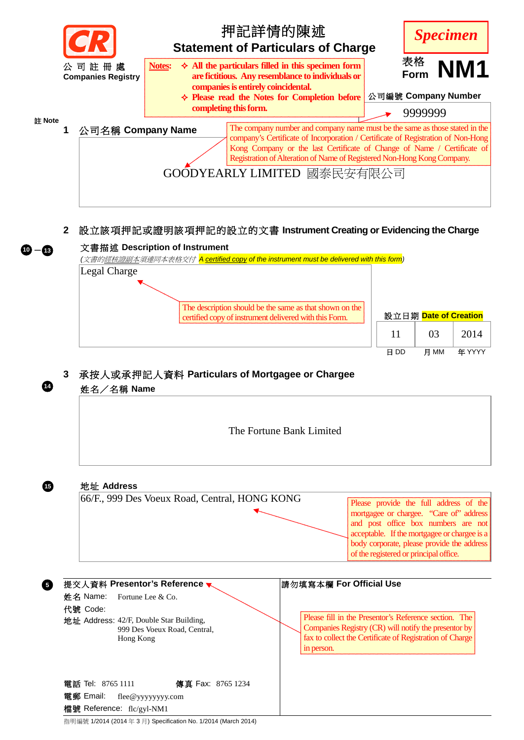

# **2** 設立該項押記或證明該項押記的設立的文書 **Instrument Creating or Evidencing the Charge**

## 文書描述 **Description of Instrument**

**<sup>10</sup>**- **<sup>13</sup>**

**14** 

**15** 

**5**

*(*文書的經核證副本須連同本表格交付 *A certified copy of the instrument must be delivered with this form)*  Legal Charge



| 設立日期 Date of Creation |      |        |
|-----------------------|------|--------|
| 11                    | 03   | 2014   |
| H DD                  | н мм | 年 YYYY |

## **3** 承按人或承押記人資料 **Particulars of Mortgagee or Chargee**



指明編號 1/2014 (2014 年 3 月) Specification No. 1/2014 (March 2014)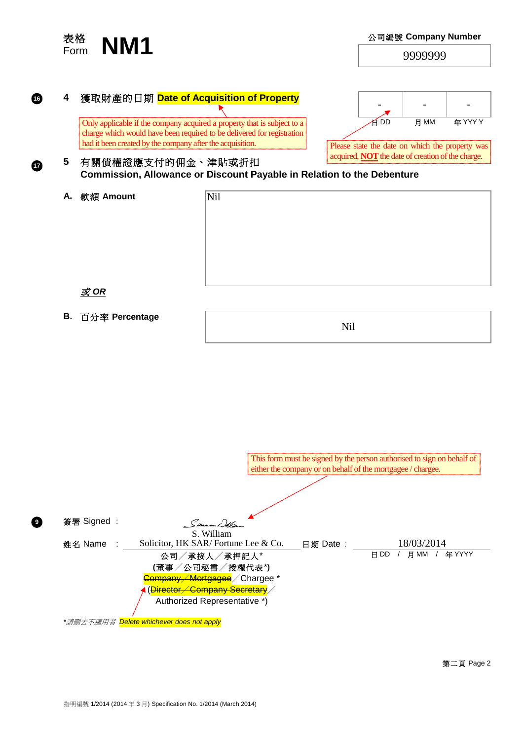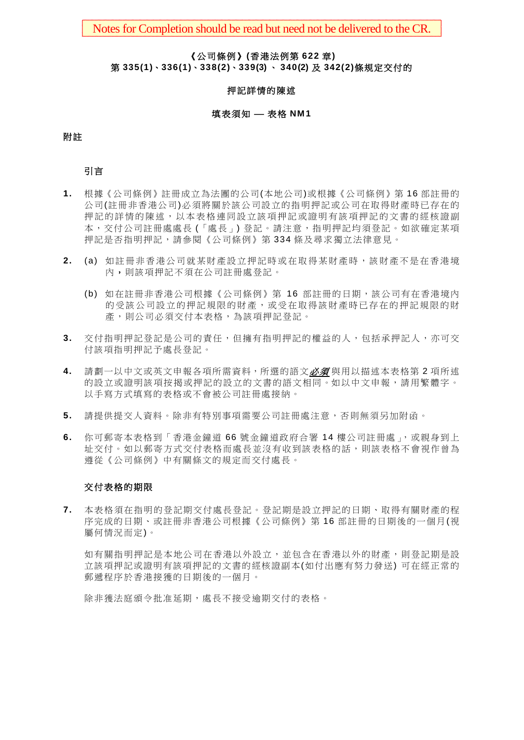Notes for Completion should be read but need not be delivered to the CR.

#### 《公司條例》**(**香港法例第 **622** 章**)**

 第 **335(1)**、**336(1)**、**338(2)**、**339(3)** 、 **340(2)** 及 **342(2)**條規定交付的

#### 押記詳情的陳述

#### 填表須知 — 表格 NM1

#### 附註

引言

- **1.** 根據《公司條例》註冊成立為法團的公司(本地公司)或根據《公司條例》第 16 部註冊的 公司(註冊非香港公司)必須將關於該公司設立的指明押記或公司在取得財產時已存在的 押記的詳情的陳述, 以本表格連同設立該項押記或證明有該項押記的文書的經核證副 本,交付公司註冊處處長 (「處長」) 登記。請注意,指明押記均須登記。如欲確定某項 押記是否指明押記,請參閱《公司條例》第 334 條及尋求獨立法律意見。
- 2. (a) 如註冊非香港公司就某財產設立押記時或在取得某財產時,該財產不是在香港境 內,則該項押記不須在公司註冊處登記。
	- (b) 如在註冊非香港公司根據《公司條例》第 16 部註冊的日期,該公司有在香港境內 的受該公司設立的押記規限的財產,或受在取得該財產時已存在的押記規限的財 產,則公司必須交付本表格,為該項押記登記。
- 3. 交付指明押記登記是公司的責任,但擁有指明押記的權益的人,包括承押記人,亦可交 付該項指明押記予處長登記。
- **4.** 請劃一以中文或英文申報各項所需資料,所選的語文必須 與用以描述本表格第 2 項所述 的設立或證明該項按揭或押記的設立的文書的語文相同。如以中文申報,請用繁體字。 以手寫方式填寫的表格或不會被公司註冊處接納。
- **5.** 請提供提交人資料。除非有特別事項需要公司註冊處注意,否則無須另加附函。
- **6.** 你可郵寄本表格到「香港金鐘道 66 號金鐘道政府合署 14 樓公司註冊處」,或親身到上 址交付。如以郵寄方式交付表格而處長並沒有收到該表格的話,則該表格不會視作曾為 遵從《公司條例》中有關條文的規定而交付處長。

### 交付表格的期限

**7.** 本表格須在指明的登記期交付處長登記。登記期是設立押記的日期、取得有關財產的程 序完成的日期、或註冊非香港公司根據《公司條例》第 16 部註冊的日期後的一個月(視 屬何情況而定)。

如有關指明押記是本地公司在香港以外設立,並包含在香港以外的財產,則登記期是設 立該項押記或證明有該項押記的文書的經核證副本(如付出應有努力發送) 可在經正常的 郵遞程序於香港接獲的日期後的一個月。

除非獲法庭頒令批准延期,處長不接受逾期交付的表格。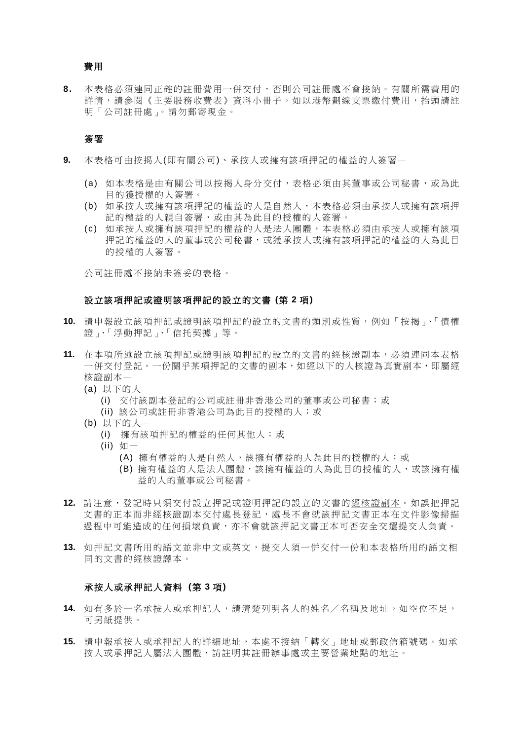### 費用

**8.** 本表格必須連同正確的註冊費用一併交付,否則公司註冊處不會接納。有關所需費用的 詳情,請參閱《主要服務收費表》資料小冊子。如以港幣劃線支票繳付費用,抬頭請註 明「公司註冊處」。請勿郵寄現金。

#### 簽署

- **9.** 本表格可由按揭人(即有關公司)、承按人或擁有該項押記的權益的人簽署—
	- (a) 如本表格是由有關公司以按揭人身分交付,表格必須由其董事或公司秘書,或為此 目的獲授權的人簽署。
	- (b) 如承按人或擁有該項押記的權益的人是自然人,本表格必須由承按人或擁有該項押 記的權益的人親自簽署,或由其為此目的授權的人簽署。
	- (c) 如承按人或擁有該項押記的權益的人是法人團體,本表格必須由承按人或擁有該項 押記的權益的人的董事或公司秘書,或獲承按人或擁有該項押記的權益的人為此目 的授權的人簽署。

公司註冊處不接納未簽妥的表格。

#### 設立該項押記或證明該項押記的設立的文書 **(**第 **2** 項**)**

- **10.** 請申報設立該項押記或證明該項押記的設立的文書的類別或性質,例如「按揭」、「債權 證」、「浮動押記」、「信托契據」等。
- **11.** 在本項所述設立該項押記或證明該項押記的設立的文書的經核證副本,必須連同本表格 一併交付登記。一份關乎某項押記的文書的副本,如經以下的人核證為真實副本,即屬經 核證副本—
	- (a) 以下的人—
		- (i) 交付該副本登記的公司或註冊非香港公司的董事或公司秘書;或
		- (ii) 該公司或註冊非香港公司為此目的授權的人;或
	- (b) 以下的人—
		- (i) 擁有該項押記的權益的任何其他人;或
		- (ii) 如—
			- (A) 擁有權益的人是自然人,該擁有權益的人為此目的授權的人;或
			- (B) 擁有權益的人是法人團體,該擁有權益的人為此目的授權的人,或該擁有權 益的人的董事或公司秘書。
- 12. 請注意,登記時只須交付設立押記或證明押記的設立的文書的經核證副本。如誤把押記 文書的正本而非經核證副本交付處長登記,處長不會就該押記文書正本在文件影像掃描 過程中可能造成的任何損壞負責,亦不會就該押記文書正本可否安全交還提交人負責。
- **13.** 如押記文書所用的語文並非中文或英文,提交人須一併交付一份和本表格所用的語文相 同的文書的經核證譯本。

#### 承按人或承押記人資料 **(**第 **3** 項**)**

- **14.** 如有多於一名承按人或承押記人,請清楚列明各人的姓名/名稱及地址。如空位不足, 可另紙提供。
- **15.** 請申報承按人或承押記人的詳細地址,本處不接納「轉交」地址或郵政信箱號碼。如承 按人或承押記人屬法人團體,請註明其註冊辦事處或主要營業地點的地址。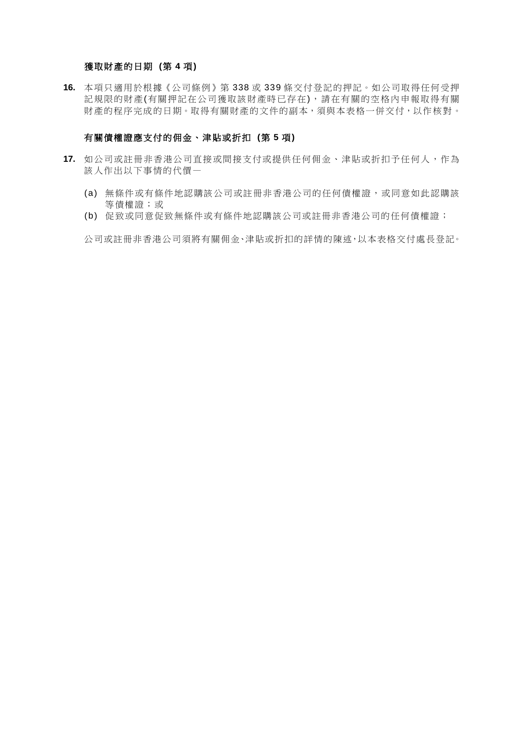### 獲取財產的日期 **(**第 **4** 項**)**

**16.** 本項只適用於根據《公司條例》第 338 或 339 條交付登記的押記。如公司取得任何受押 記規限的財產(有關押記在公司獲取該財產時已存在),請在有關的空格內申報取得有關 財產的程序完成的日期。取得有關財產的文件的副本,須與本表格一併交付,以作核對。

### 有關債權證應支付的佣金、津貼或折扣 **(**第 **5** 項**)**

- **17.** 如公司或註冊非香港公司直接或間接支付或提供任何佣金、津貼或折扣予任何人,作為 該人作出以下事情的代價—
	- (a) 無條件或有條件地認購該公司或註冊非香港公司的任何債權證,或同意如此認購該 等債權證;或
	- (b) 促致或同意促致無條件或有條件地認購該公司或註冊非香港公司的任何債權證;

公司或註冊非香港公司須將有關佣金、津貼或折扣的詳情的陳述,以本表格交付處長登記。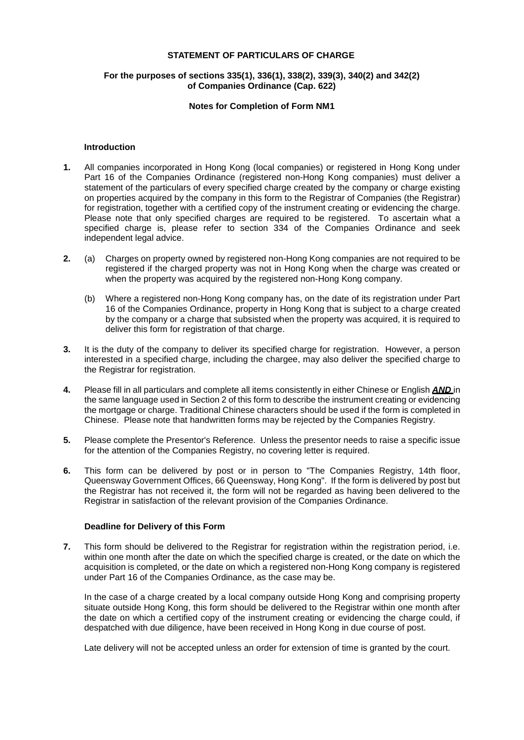#### **STATEMENT OF PARTICULARS OF CHARGE**

### **For the purposes of sections 335(1), 336(1), 338(2), 339(3), 340(2) and 342(2) of Companies Ordinance (Cap. 622)**

#### **Notes for Completion of Form NM1**

#### **Introduction**

- **1.** All companies incorporated in Hong Kong (local companies) or registered in Hong Kong under on properties acquired by the company in this form to the Registrar of Companies (the Registrar) Part 16 of the Companies Ordinance (registered non-Hong Kong companies) must deliver a statement of the particulars of every specified charge created by the company or charge existing for registration, together with a certified copy of the instrument creating or evidencing the charge. Please note that only specified charges are required to be registered. To ascertain what a specified charge is, please refer to section 334 of the Companies Ordinance and seek independent legal advice.
- **2.** (a) Charges on property owned by registered non-Hong Kong companies are not required to be registered if the charged property was not in Hong Kong when the charge was created or when the property was acquired by the registered non-Hong Kong company.
	- (b) Where a registered non-Hong Kong company has, on the date of its registration under Part 16 of the Companies Ordinance, property in Hong Kong that is subject to a charge created by the company or a charge that subsisted when the property was acquired, it is required to deliver this form for registration of that charge.
- **3.** It is the duty of the company to deliver its specified charge for registration. However, a person interested in a specified charge, including the chargee, may also deliver the specified charge to the Registrar for registration.
- **4.** Please fill in all particulars and complete all items consistently in either Chinese or English *AND* in the same language used in Section 2 of this form to describe the instrument creating or evidencing the mortgage or charge. Traditional Chinese characters should be used if the form is completed in Chinese. Please note that handwritten forms may be rejected by the Companies Registry.
- **5.** Please complete the Presentor's Reference. Unless the presentor needs to raise a specific issue for the attention of the Companies Registry, no covering letter is required.
- **6.** This form can be delivered by post or in person to "The Companies Registry, 14th floor, Queensway Government Offices, 66 Queensway, Hong Kong". If the form is delivered by post but the Registrar has not received it, the form will not be regarded as having been delivered to the Registrar in satisfaction of the relevant provision of the Companies Ordinance.

#### **Deadline for Delivery of this Form**

**7.** This form should be delivered to the Registrar for registration within the registration period, i.e. under Part 16 of the Companies Ordinance, as the case may be. within one month after the date on which the specified charge is created, or the date on which the acquisition is completed, or the date on which a registered non-Hong Kong company is registered

 situate outside Hong Kong, this form should be delivered to the Registrar within one month after the date on which a certified copy of the instrument creating or evidencing the charge could, if In the case of a charge created by a local company outside Hong Kong and comprising property despatched with due diligence, have been received in Hong Kong in due course of post.

Late delivery will not be accepted unless an order for extension of time is granted by the court.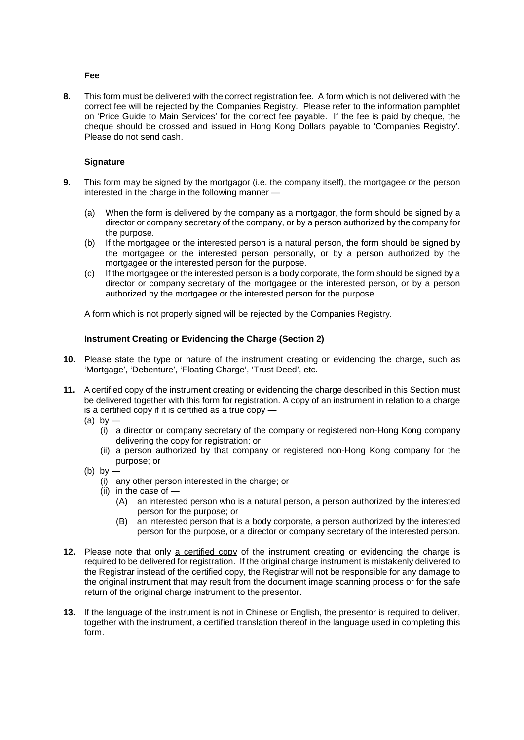### **Fee**

 correct fee will be rejected by the Companies Registry. Please refer to the information pamphlet on 'Price Guide to Main Services' for the correct fee payable. If the fee is paid by cheque, the cheque should be crossed and issued in Hong Kong Dollars payable to 'Companies Registry'. **8.** This form must be delivered with the correct registration fee. A form which is not delivered with the Please do not send cash.

### **Signature**

- **9.** This form may be signed by the mortgagor (i.e. the company itself), the mortgagee or the person interested in the charge in the following manner —
	- (a) When the form is delivered by the company as a mortgagor, the form should be signed by a director or company secretary of the company, or by a person authorized by the company for the purpose.
	- (b) If the mortgagee or the interested person is a natural person, the form should be signed by mortgagee or the interested person for the purpose. the mortgagee or the interested person personally, or by a person authorized by the
	- director or company secretary of the mortgagee or the interested person, or by a person authorized by the mortgagee or the interested person for the purpose.  $\alpha$  If the mortgagee or the interested person is a body corporate, the form should be signed by a

A form which is not properly signed will be rejected by the Companies Registry.

### **Instrument Creating or Evidencing the Charge (Section 2)**

- **10.** Please state the type or nature of the instrument creating or evidencing the charge, such as 'Mortgage', 'Debenture', 'Floating Charge', 'Trust Deed', etc.
- **11.** A certified copy of the instrument creating or evidencing the charge described in this Section must be delivered together with this form for registration. A copy of an instrument in relation to a charge is a certified copy if it is certified as a true copy —
	- (a) by
		- (i) a director or company secretary of the company or registered non-Hong Kong company delivering the copy for registration; or
		- (ii) a person authorized by that company or registered non-Hong Kong company for the purpose; or
	- (b) by
		- (i) any other person interested in the charge; or
		- (ii) in the case of  $-$ 
			- (A) an interested person who is a natural person, a person authorized by the interested person for the purpose; or
			- (B) an interested person that is a body corporate, a person authorized by the interested person for the purpose, or a director or company secretary of the interested person.
- the Registrar instead of the certified copy, the Registrar will not be responsible for any damage to **12.** Please note that only a certified copy of the instrument creating or evidencing the charge is required to be delivered for registration. If the original charge instrument is mistakenly delivered to the original instrument that may result from the document image scanning process or for the safe return of the original charge instrument to the presentor.
- **13.** If the language of the instrument is not in Chinese or English, the presentor is required to deliver, together with the instrument, a certified translation thereof in the language used in completing this form.